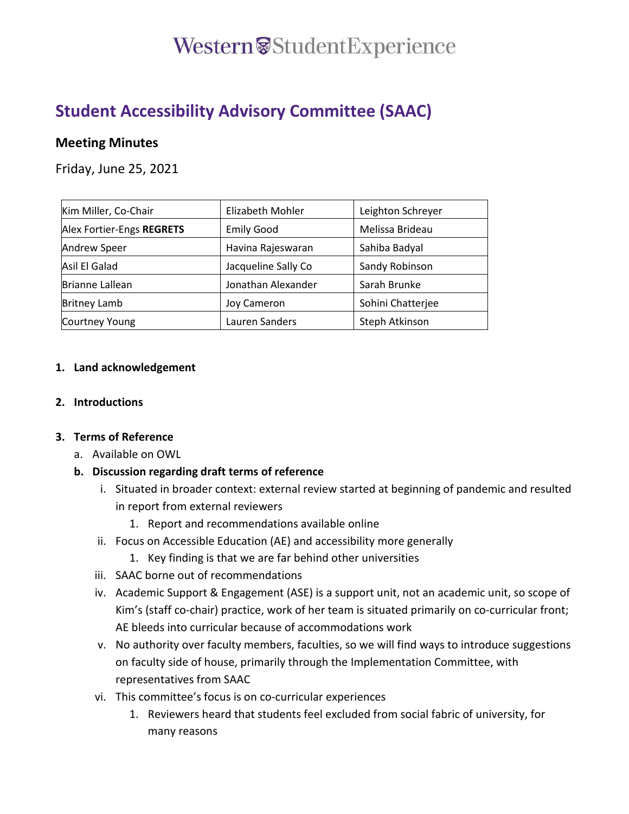### Western Student Experience

### **Student Accessibility Advisory Committee (SAAC)**

#### **Meeting Minutes**

Friday, June 25, 2021

| Kim Miller, Co-Chair      | Elizabeth Mohler    | Leighton Schreyer |  |
|---------------------------|---------------------|-------------------|--|
| Alex Fortier-Engs REGRETS | <b>Emily Good</b>   | Melissa Brideau   |  |
| Andrew Speer              | Havina Rajeswaran   | Sahiba Badyal     |  |
| Asil El Galad             | Jacqueline Sally Co | Sandy Robinson    |  |
| Brianne Lallean           | Jonathan Alexander  | Sarah Brunke      |  |
| <b>Britney Lamb</b>       | <b>Joy Cameron</b>  | Sohini Chatterjee |  |
| <b>Courtney Young</b>     | Lauren Sanders      | Steph Atkinson    |  |

#### **1. Land acknowledgement**

#### **2. Introductions**

#### **3. Terms of Reference**

a. Available on OWL

#### **b. Discussion regarding draft terms of reference**

- i. Situated in broader context: external review started at beginning of pandemic and resulted in report from external reviewers
	- 1. Report and recommendations available online
- ii. Focus on Accessible Education (AE) and accessibility more generally
	- 1. Key finding is that we are far behind other universities
- iii. SAAC borne out of recommendations
- iv. Academic Support & Engagement (ASE) is a support unit, not an academic unit, so scope of Kim's (staff co-chair) practice, work of her team is situated primarily on co-curricular front; AE bleeds into curricular because of accommodations work
- v. No authority over faculty members, faculties, so we will find ways to introduce suggestions on faculty side of house, primarily through the Implementation Committee, with representatives from SAAC
- vi. This committee's focus is on co-curricular experiences
	- 1. Reviewers heard that students feel excluded from social fabric of university, for many reasons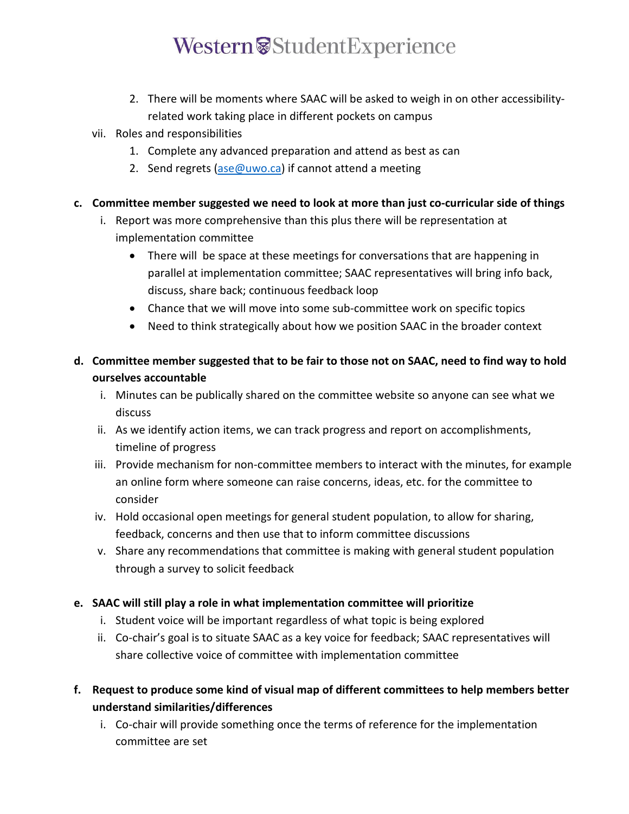## Western<sup>®</sup>StudentExperience

- 2. There will be moments where SAAC will be asked to weigh in on other accessibilityrelated work taking place in different pockets on campus
- vii. Roles and responsibilities
	- 1. Complete any advanced preparation and attend as best as can
	- 2. Send regrets [\(ase@uwo.ca\)](mailto:ase@uwo.ca) if cannot attend a meeting
- **c. Committee member suggested we need to look at more than just co-curricular side of things**
	- i. Report was more comprehensive than this plus there will be representation at implementation committee
		- There will be space at these meetings for conversations that are happening in parallel at implementation committee; SAAC representatives will bring info back, discuss, share back; continuous feedback loop
		- Chance that we will move into some sub-committee work on specific topics
		- Need to think strategically about how we position SAAC in the broader context
- **d. Committee member suggested that to be fair to those not on SAAC, need to find way to hold ourselves accountable** 
	- i. Minutes can be publically shared on the committee website so anyone can see what we discuss
	- ii. As we identify action items, we can track progress and report on accomplishments, timeline of progress
	- iii. Provide mechanism for non-committee members to interact with the minutes, for example an online form where someone can raise concerns, ideas, etc. for the committee to consider
	- iv. Hold occasional open meetings for general student population, to allow for sharing, feedback, concerns and then use that to inform committee discussions
	- v. Share any recommendations that committee is making with general student population through a survey to solicit feedback
- **e. SAAC will still play a role in what implementation committee will prioritize**
	- i. Student voice will be important regardless of what topic is being explored
	- ii. Co-chair's goal is to situate SAAC as a key voice for feedback; SAAC representatives will share collective voice of committee with implementation committee
- **f. Request to produce some kind of visual map of different committees to help members better understand similarities/differences** 
	- i. Co-chair will provide something once the terms of reference for the implementation committee are set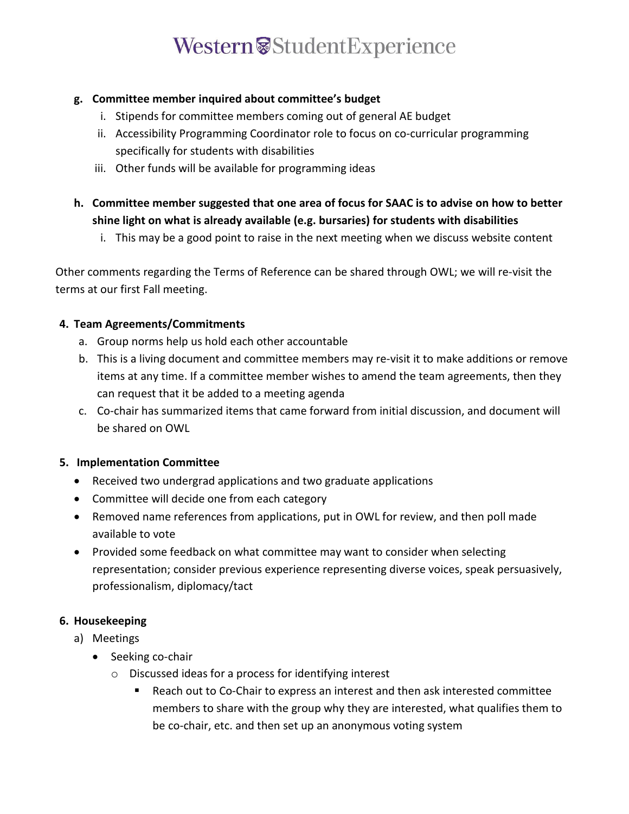## Western<sup>®</sup>StudentExperience

#### **g. Committee member inquired about committee's budget**

- i. Stipends for committee members coming out of general AE budget
- ii. Accessibility Programming Coordinator role to focus on co-curricular programming specifically for students with disabilities
- iii. Other funds will be available for programming ideas
- **h. Committee member suggested that one area of focus for SAAC is to advise on how to better shine light on what is already available (e.g. bursaries) for students with disabilities** 
	- i. This may be a good point to raise in the next meeting when we discuss website content

Other comments regarding the Terms of Reference can be shared through OWL; we will re-visit the terms at our first Fall meeting.

#### **4. Team Agreements/Commitments**

- a. Group norms help us hold each other accountable
- b. This is a living document and committee members may re-visit it to make additions or remove items at any time. If a committee member wishes to amend the team agreements, then they can request that it be added to a meeting agenda
- c. Co-chair has summarized items that came forward from initial discussion, and document will be shared on OWL

#### **5. Implementation Committee**

- Received two undergrad applications and two graduate applications
- Committee will decide one from each category
- Removed name references from applications, put in OWL for review, and then poll made available to vote
- Provided some feedback on what committee may want to consider when selecting representation; consider previous experience representing diverse voices, speak persuasively, professionalism, diplomacy/tact

#### **6. Housekeeping**

- a) Meetings
	- Seeking co-chair
		- o Discussed ideas for a process for identifying interest
			- Reach out to Co-Chair to express an interest and then ask interested committee members to share with the group why they are interested, what qualifies them to be co-chair, etc. and then set up an anonymous voting system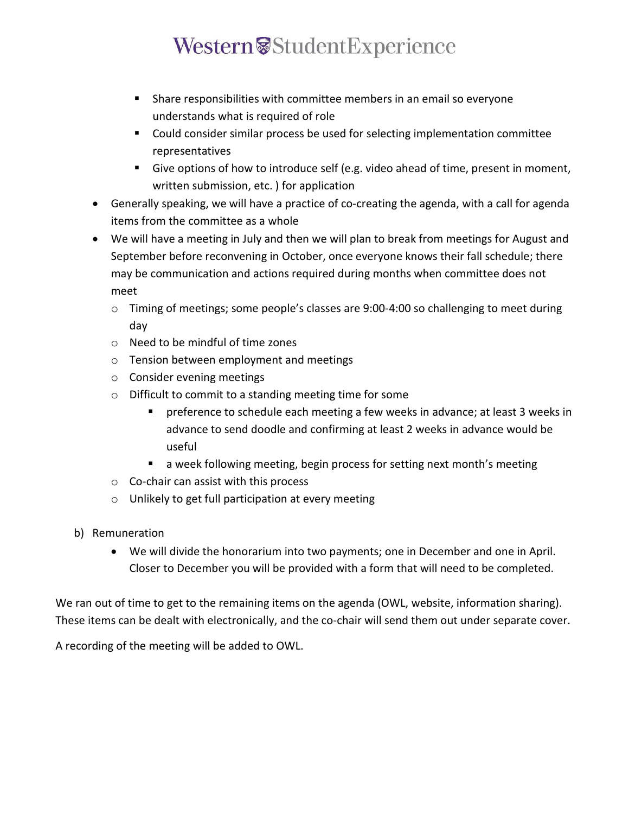## Western Student Experience

- Share responsibilities with committee members in an email so everyone understands what is required of role
- Could consider similar process be used for selecting implementation committee representatives
- Give options of how to introduce self (e.g. video ahead of time, present in moment, written submission, etc. ) for application
- Generally speaking, we will have a practice of co-creating the agenda, with a call for agenda items from the committee as a whole
- We will have a meeting in July and then we will plan to break from meetings for August and September before reconvening in October, once everyone knows their fall schedule; there may be communication and actions required during months when committee does not meet
	- o Timing of meetings; some people's classes are 9:00-4:00 so challenging to meet during day
	- o Need to be mindful of time zones
	- o Tension between employment and meetings
	- o Consider evening meetings
	- o Difficult to commit to a standing meeting time for some
		- **P** preference to schedule each meeting a few weeks in advance; at least 3 weeks in advance to send doodle and confirming at least 2 weeks in advance would be useful
		- a week following meeting, begin process for setting next month's meeting
	- o Co-chair can assist with this process
	- o Unlikely to get full participation at every meeting
- b) Remuneration
	- We will divide the honorarium into two payments; one in December and one in April. Closer to December you will be provided with a form that will need to be completed.

We ran out of time to get to the remaining items on the agenda (OWL, website, information sharing). These items can be dealt with electronically, and the co-chair will send them out under separate cover.

A recording of the meeting will be added to OWL.